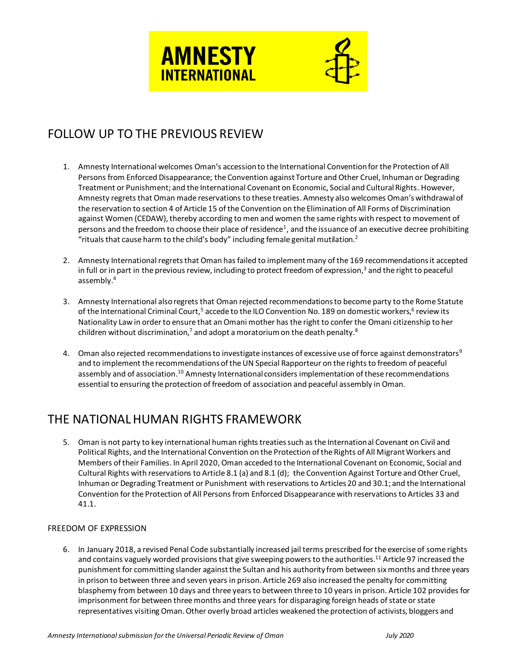

# FOLLOW UP TO THE PREVIOUS REVIEW

- 1. Amnesty International welcomes Oman's accession to the International Convention for the Protection of All Persons from Enforced Disappearance; the Convention against Torture and Other Cruel, Inhuman or Degrading Treatment or Punishment; and the International Covenant on Economic, Social and Cultural Rights. However, Amnesty regrets that Oman made reservations to these treaties. Amnesty also welcomes Oman's withdrawal of the reservation to section 4 of Article 15 of the Convention on the Elimination of All Forms of Discrimination against Women (CEDAW), thereby according to men and women the same rights with respect to movement of persons and the freedom to choose their place of residence<sup>1</sup>, and the issuance of an executive decree prohibiting "rituals that cause harm to the child's body" including female genital mutilation.<sup>2</sup>
- 2. Amnesty International regrets that Oman has failed to implement many of the 169 recommendations it accepted in full or in part in the previous review, including to protect freedom of expression,<sup>3</sup> and the right to peaceful assembly. 4
- 3. Amnesty International also regrets that Oman rejected recommendations to become party to the Rome Statute of the International Criminal Court,<sup>5</sup> accede to the ILO Convention No. 189 on domestic workers,<sup>6</sup> review its Nationality Law in order to ensure that an Omani mother has the right to confer the Omani citizenship to her children without discrimination,<sup>7</sup> and adopt a moratorium on the death penalty.<sup>8</sup>
- 4. Oman also rejected recommendations to investigate instances of excessive use of force against demonstrators<sup>9</sup> and to implement the recommendations of the UN Special Rapporteur on the rights to freedom of peaceful assembly and of association.<sup>10</sup> Amnesty International considers implementation of these recommendations essential to ensuring the protection of freedom of association and peaceful assembly in Oman.

# THE NATIONAL HUMAN RIGHTS FRAMEWORK

5. Oman is not party to key international human rights treaties such as the International Covenant on Civil and Political Rights, and the International Convention on the Protection of the Rights of All Migrant Workers and Members of their Families. In April 2020, Oman acceded to the International Covenant on Economic, Social and Cultural Rights with reservations to Article 8.1 (a) and 8.1 (d); the Convention Against Torture and Other Cruel, Inhuman or Degrading Treatment or Punishment with reservations to Articles 20 and 30.1; and the International Convention for the Protection of All Persons from Enforced Disappearance with reservations to Articles 33 and 41.1.

### FREEDOM OF EXPRESSION

6. In January 2018, a revised Penal Code substantially increased jail terms prescribed for the exercise of some rights and contains vaguely worded provisions that give sweeping powers to the authorities.<sup>11</sup> Article 97 increased the punishment for committing slander against the Sultan and his authority from between six months and three years in prison to between three and seven years in prison. Article 269 also increased the penalty for committing blasphemy from between 10 days and three years to between three to 10 years in prison. Article 102 provides for imprisonment for between three months and three years for disparaging foreign heads of state or state representatives visiting Oman. Other overly broad articles weakened the protection of activists, bloggers and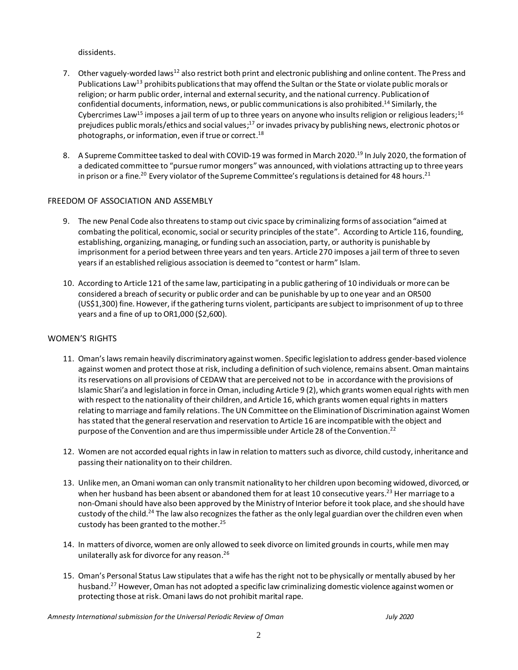dissidents.

- 7. Other vaguely-worded laws<sup>12</sup> also restrict both print and electronic publishing and online content. The Press and Publications Law<sup>13</sup> prohibits publications that may offend the Sultan or the State or violate public morals or religion; or harm public order, internal and external security, and the national currency. Publication of confidential documents, information, news, or public communications is also prohibited.<sup>14</sup> Similarly, the Cybercrimes Law<sup>15</sup> imposes a jail term of up to three years on anyone who insults religion or religious leaders;<sup>16</sup> prejudices public morals/ethics and social values;<sup>17</sup> or invades privacy by publishing news, electronic photos or photographs, or information, even if true or correct.<sup>18</sup>
- 8. A Supreme Committee tasked to deal with COVID-19 was formed in March 2020.<sup>19</sup> In July 2020, the formation of a dedicated committee to "pursue rumor mongers" was announced, with violations attracting up to three years in prison or a fine.<sup>20</sup> Every violator of the Supreme Committee's regulations is detained for 48 hours.<sup>21</sup>

#### FREEDOM OF ASSOCIATION AND ASSEMBLY

- 9. The new Penal Code also threatens to stamp out civic space by criminalizing forms of association "aimed at combating the political, economic, social or security principles of the state". According to Article 116, founding, establishing, organizing, managing, or funding suchan association, party, or authority is punishable by imprisonment for a period between three years and ten years. Article 270 imposes a jail term of three to seven years if an established religious association is deemed to "contest or harm" Islam.
- 10. According to Article 121 of the same law, participating in a public gathering of 10 individuals or more can be considered a breach of security or public order and can be punishable by up to one year and an OR500 (US\$1,300) fine. However, if the gathering turns violent, participants are subject to imprisonment of up to three years and a fine of up to OR1,000 (\$2,600).

#### WOMEN'S RIGHTS

- 11. Oman's laws remain heavily discriminatory against women. Specific legislation to address gender-based violence against women and protect those at risk, including a definition of such violence, remains absent. Oman maintains its reservations on all provisions of CEDAW that are perceived not to be in accordance with the provisions of Islamic Shari'a and legislation in force in Oman, including Article 9 (2), which grants women equal rights with men with respect to the nationality of their children, and Article 16, which grants women equal rights in matters relating to marriage and family relations. The UN Committee on the Elimination of Discrimination against Women has stated that the general reservation and reservation to Article 16 are incompatible with the object and purpose of the Convention and are thus impermissible under Article 28 of the Convention. 22
- 12. Women are not accorded equal rights in law in relation to matters such as divorce, child custody, inheritance and passing their nationality on to their children.
- 13. Unlike men, an Omani woman can only transmit nationality to her children upon becoming widowed, divorced, or when her husband has been absent or abandoned them for at least 10 consecutive years.<sup>23</sup> Her marriage to a non-Omani should have also been approved by the Ministry of Interior before it took place, and she should have custody of the child.<sup>24</sup> The law also recognizes the father as the only legal guardian over the children even when custody has been granted to the mother.<sup>25</sup>
- 14. In matters of divorce, women are only allowed to seek divorce on limited grounds in courts, whilemen may unilaterally ask for divorce for any reason. 26
- 15. Oman's Personal Status Law stipulates that a wife has the right not to be physically or mentally abused by her husband. <sup>27</sup> However, Oman has not adopted a specific law criminalizing domestic violence against women or protecting those at risk. Omani laws do not prohibit marital rape.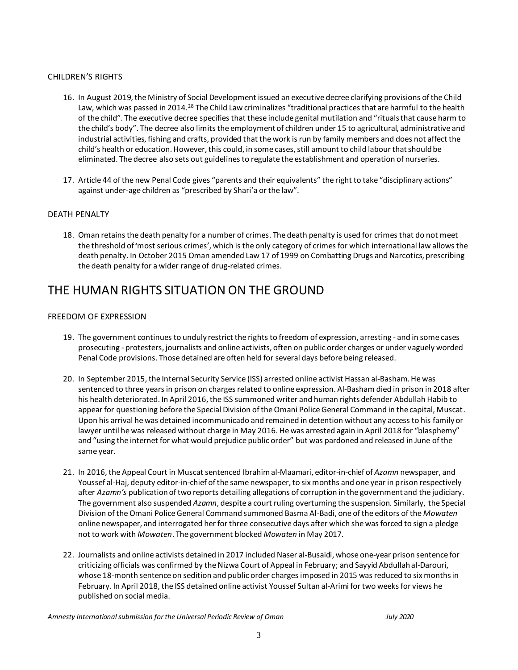### CHILDREN'S RIGHTS

- 16. In August 2019, the Ministry of Social Development issued an executive decree clarifying provisions of the Child Law, which was passed in 2014.<sup>28</sup> The Child Law criminalizes "traditional practices that are harmful to the health of the child". The executive decree specifies that these include genital mutilation and "rituals that cause harm to the child's body". The decree also limits the employment of children under 15 to agricultural, administrative and industrial activities, fishing and crafts, provided that the work is run by family members and does not affect the child's health or education. However, this could, in some cases, still amount to child labour that should be eliminated. The decree also sets out guidelines to regulate the establishment and operation of nurseries.
- 17. Article 44 of the new Penal Code gives "parents and their equivalents" the right to take "disciplinary actions" against under-age children as "prescribed by Shari'a or the law".

#### DEATH PENALTY

18. Oman retains the death penalty for a number of crimes. The death penalty is used for crimes that do not meet the threshold of**'**most serious crimes', which is the only category of crimes for which international law allows the death penalty. In October 2015 Oman amended Law 17 of 1999 on Combatting Drugs and Narcotics, prescribing the death penalty for a wider range of drug-related crimes.

### THE HUMAN RIGHTS SITUATION ON THE GROUND

#### FREEDOM OF EXPRESSION

- 19. The government continues to unduly restrict the rights to freedom of expression, arresting and in some cases prosecuting - protesters, journalists and online activists, often on public order charges or under vaguely worded Penal Code provisions. Those detained are often held for several days before being released.
- 20. In September 2015, the Internal Security Service (ISS) arrested online activist Hassan al-Basham. He was sentenced to three years in prison on charges related to online expression. Al-Basham died in prison in 2018 after his health deteriorated. In April 2016, the ISS summoned writer and human rights defender Abdullah Habib to appear for questioning before the Special Division of the Omani Police General Command in the capital, Muscat. Upon his arrival he was detained incommunicado and remained in detention without any access to his family or lawyer until he was released without charge in May 2016. He was arrested again in April 2018 for "blasphemy" and "using the internet for what would prejudice public order" but was pardoned and released in June of the same year.
- 21. In 2016, the Appeal Court in Muscat sentenced Ibrahim al-Maamari, editor-in-chief of *Azamn* newspaper, and Youssef al-Haj, deputy editor-in-chief of the same newspaper, to six months and one year in prison respectively after *Azamn's* publication of two reports detailing allegations of corruption in the government and the judiciary. The government also suspended *Azamn*, despite a court ruling overturning the suspension. Similarly, the Special Division of theOmani Police General Command summoned Basma Al-Badi, one of the editors of the *Mowaten*  online newspaper, and interrogated her for three consecutive days after which she was forced to sign a pledge not to work with *Mowaten*. The government blocked *Mowaten* in May 2017.
- 22. Journalists and online activists detained in 2017 included Naser al-Busaidi, whose one-year prison sentence for criticizing officials was confirmed by the Nizwa Court of Appeal in February; and Sayyid Abdullah al-Darouri, whose 18-month sentence on sedition and public order charges imposed in 2015 was reduced to six months in February. In April 2018, the ISS detained online activist Youssef Sultan al-Arimi for two weeks for views he published on social media.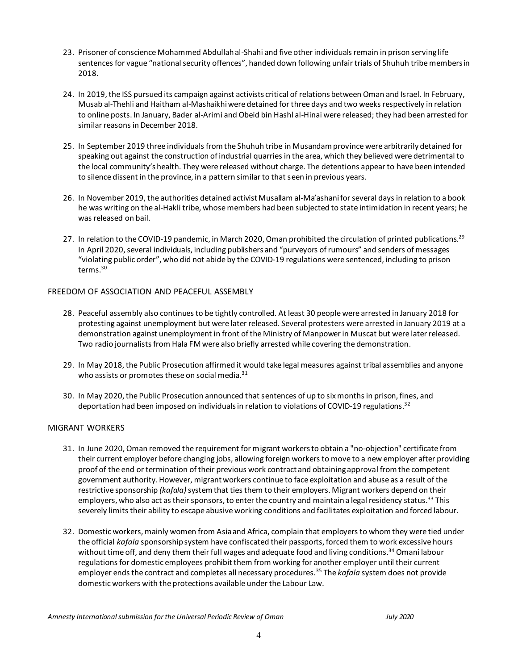- 23. Prisoner of conscience Mohammed Abdullah al-Shahi and five other individuals remain in prison serving life sentences for vague "national security offences", handed down following unfair trials of Shuhuh tribe members in 2018.
- 24. In 2019, the ISS pursued its campaign against activists critical of relations between Oman and Israel. In February, Musab al-Thehli and Haitham al-Mashaikhi were detained for three days and two weeks respectively in relation to online posts. In January, Bader al-Arimi and Obeid bin Hashl al-Hinai were released; they had been arrested for similar reasons in December 2018.
- 25. In September 2019 three individuals from the Shuhuh tribe in Musandam province were arbitrarily detained for speaking out against the construction of industrial quarries in the area, which they believed were detrimental to the local community's health. They were released without charge. The detentions appear to have been intended to silence dissent in the province, in a pattern similar to that seen in previous years.
- 26. In November 2019, the authorities detained activist Musallam al-Ma'ashani for several days in relation to a book he was writing on the al-Hakli tribe, whose members had been subjected to state intimidation in recent years; he was released on bail.
- 27. In relation to the COVID-19 pandemic, in March 2020, Oman prohibited the circulation of printed publications.<sup>29</sup> In April 2020, several individuals, including publishers and "purveyors of rumours" and senders of messages "violating public order", who did not abide by the COVID-19 regulations were sentenced, including to prison terms. 30

#### FREEDOM OF ASSOCIATION AND PEACEFUL ASSEMBLY

- 28. Peaceful assembly also continues to be tightly controlled. At least 30 people were arrested in January 2018 for protesting against unemployment but were later released. Several protesters were arrested in January 2019 at a demonstration against unemployment in front of the Ministry of Manpower in Muscat but were later released. Two radio journalists from Hala FM were also briefly arrested while covering the demonstration.
- 29. In May 2018, the Public Prosecution affirmed it would take legal measures against tribal assemblies and anyone who assists or promotes these on social media.<sup>31</sup>
- 30. In May 2020, the Public Prosecution announced that sentences of up to six months in prison, fines, and deportation had been imposed on individuals in relation to violations of COVID-19 regulations.<sup>32</sup>

#### MIGRANT WORKERS

- 31. In June 2020, Oman removed the requirement for migrant workers to obtain a "no-objection" certificate from their current employer before changing jobs, allowing foreign workers to move to a new employer after providing proof of the end or termination of their previous work contract and obtaining approval from the competent government authority. However, migrant workers continue to face exploitation and abuse as a result of the restrictive sponsorship *(kafala)*system that ties them to their employers. Migrant workers depend on their employers, who also act as their sponsors, to enter the country and maintain a legal residency status.<sup>33</sup> This severely limits their ability to escape abusive working conditions and facilitates exploitation and forced labour.
- 32. Domestic workers, mainly women from Asia and Africa, complain that employers to whom they were tied under the official *kafala* sponsorship system have confiscated their passports, forced them to work excessive hours without time off, and deny them their full wages and adequate food and living conditions.<sup>34</sup> Omani labour regulations for domestic employees prohibit them from working for another employer until their current employer ends the contract and completes all necessary procedures.<sup>35</sup> The *kafala* system does not provide domestic workers with the protections available under the Labour Law.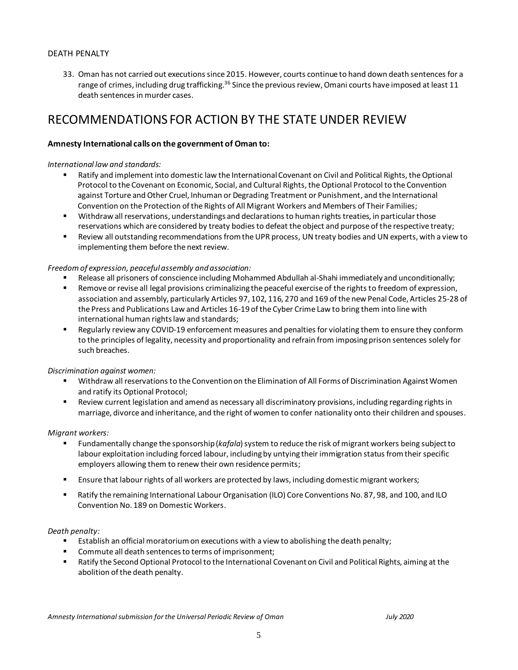### DEATH PENALTY

33. Oman has not carried out executions since 2015. However, courts continue to hand down death sentences for a range of crimes, including drug trafficking.<sup>36</sup> Since the previous review, Omani courts have imposed at least 11 death sentences in murder cases.

## RECOMMENDATIONS FOR ACTION BY THE STATE UNDER REVIEW

#### **Amnesty International calls on the government of Oman to:**

#### *International law and standards:*

- Ratify and implement into domestic law the International Covenant on Civil and Political Rights, the Optional Protocol to the Covenant on Economic, Social, and Cultural Rights, the Optional Protocol to the Convention against Torture and Other Cruel, Inhuman or Degrading Treatment or Punishment, and the International Convention on the Protection of the Rights of All Migrant Workers and Members of Their Families;
- Withdraw all reservations, understandings and declarations to human rights treaties, in particular those reservations which are considered by treaty bodies to defeat the object and purpose of the respective treaty;
- Review all outstanding recommendations from the UPR process, UN treaty bodies and UN experts, with a view to implementing them before the next review.

#### *Freedom of expression, peaceful assembly and association:*

- Release all prisoners of conscience including Mohammed Abdullah al-Shahi immediately and unconditionally;
- Remove or revise all legal provisions criminalizing the peaceful exercise of the rights to freedom of expression, association and assembly, particularly Articles 97, 102, 116, 270 and 169 of the new Penal Code, Articles 25-28 of the Press and Publications Law and Articles 16-19 of the Cyber Crime Law to bring them into line with international human rights law and standards;
- Regularly review any COVID-19 enforcement measures and penalties for violating them to ensure they conform to the principles of legality, necessity and proportionality and refrain from imposing prison sentences solely for such breaches.

#### *Discrimination against women:*

- Withdraw all reservations to the Convention on the Elimination of All Forms of Discrimination Against Women and ratify its Optional Protocol;
- Review current legislation and amend as necessary all discriminatory provisions, including regarding rights in marriage, divorce and inheritance, and the right of women to confer nationality onto their children and spouses.

#### *Migrant workers:*

- Fundamentally change the sponsorship (*kafala*) system to reduce the risk of migrant workers being subject to labour exploitation including forced labour, including by untying their immigration status from their specific employers allowing them to renew their own residence permits;
- **E** Ensure that labour rights of all workers are protected by laws, including domestic migrant workers;
- **Ratify the remaining International Labour Organisation (ILO) Core Conventions No. 87, 98, and 100, and ILO** Convention No. 189 on Domestic Workers.

#### *Death penalty:*

- Establish an official moratorium on executions with a view to abolishing the death penalty;
- Commute all death sentencesto terms of imprisonment;
- Ratify the Second Optional Protocol to the International Covenant on Civil and Political Rights, aiming at the abolition of the death penalty.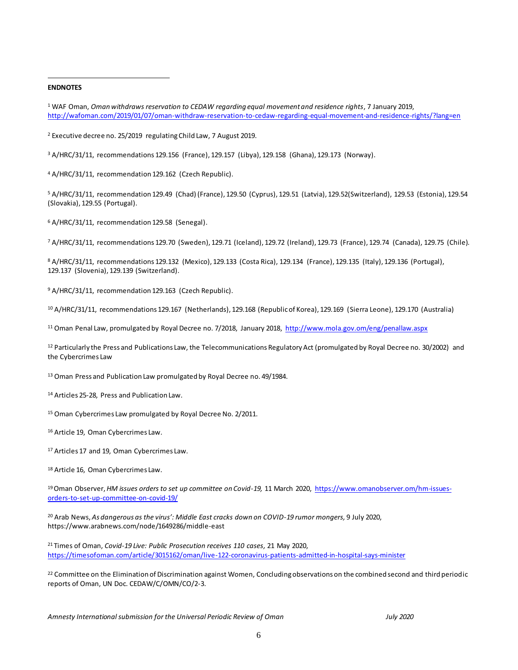#### **ENDNOTES**

 $\overline{a}$ 

<sup>2</sup> Executive decree no. 25/2019 regulating Child Law, 7 August 2019.

<sup>3</sup> A/HRC/31/11, recommendations 129.156 (France), 129.157 (Libya), 129.158 (Ghana), 129.173 (Norway).

<sup>4</sup> A/HRC/31/11, recommendation 129.162 (Czech Republic).

<sup>5</sup> A/HRC/31/11, recommendation 129.49 (Chad) (France), 129.50 (Cyprus), 129.51 (Latvia), 129.52(Switzerland), 129.53 (Estonia), 129.54 (Slovakia), 129.55 (Portugal).

<sup>6</sup> A/HRC/31/11, recommendation 129.58 (Senegal).

<sup>7</sup> A/HRC/31/11, recommendations 129.70 (Sweden), 129.71 (Iceland), 129.72 (Ireland), 129.73 (France), 129.74 (Canada), 129.75 (Chile).

<sup>8</sup> A/HRC/31/11, recommendations 129.132 (Mexico), 129.133 (Costa Rica), 129.134 (France), 129.135 (Italy), 129.136 (Portugal), 129.137 (Slovenia), 129.139 (Switzerland).

<sup>9</sup> A/HRC/31/11, recommendation 129.163 (Czech Republic).

<sup>10</sup> A/HRC/31/11, recommendations 129.167 (Netherlands), 129.168 (Republic of Korea), 129.169 (Sierra Leone), 129.170 (Australia)

<sup>11</sup> Oman Penal Law, promulgated by Royal Decree no. 7/2018, January 2018,<http://www.mola.gov.om/eng/penallaw.aspx>

12 Particularly the Press and Publications Law, the Telecommunications Regulatory Act (promulgated by Royal Decree no. 30/2002) and the Cybercrimes Law

<sup>13</sup> Oman Press and Publication Law promulgated by Royal Decree no. 49/1984.

<sup>14</sup> Articles 25-28, Press and Publication Law.

<sup>15</sup> Oman Cybercrimes Law promulgated by Royal Decree No. 2/2011.

<sup>16</sup> Article 19, Oman Cybercrimes Law.

17 Articles 17 and 19, Oman Cybercrimes Law.

<sup>18</sup> Article 16, Oman Cybercrimes Law.

19Oman Observer, *HM issues orders to set up committee on Covid-19,* 11 March 2020, [https://www.omanobserver.om/hm-issues](https://www.omanobserver.om/hm-issues-orders-to-set-up-committee-on-covid-19/)[orders-to-set-up-committee-on-covid-19/](https://www.omanobserver.om/hm-issues-orders-to-set-up-committee-on-covid-19/)

<sup>20</sup> Arab News, *As dangerous as the virus': Middle East cracks down on COVID-19 rumor mongers,* 9 July 2020, https://www.arabnews.com/node/1649286/middle-east

<sup>21</sup> Times of Oman, *Covid-19 Live: Public Prosecution receives 110 cases,* 21 May 2020, <https://timesofoman.com/article/3015162/oman/live-122-coronavirus-patients-admitted-in-hospital-says-minister>

<sup>22</sup> Committee on the Elimination of Discrimination against Women, Concluding observations on the combined second and third periodic reports of Oman, UN Doc. CEDAW/C/OMN/CO/2-3.

<sup>1</sup> WAF Oman, *Oman withdraws reservation to CEDAW regarding equal movement and residence rights*, 7 January 2019, <http://wafoman.com/2019/01/07/oman-withdraw-reservation-to-cedaw-regarding-equal-movement-and-residence-rights/?lang=en>